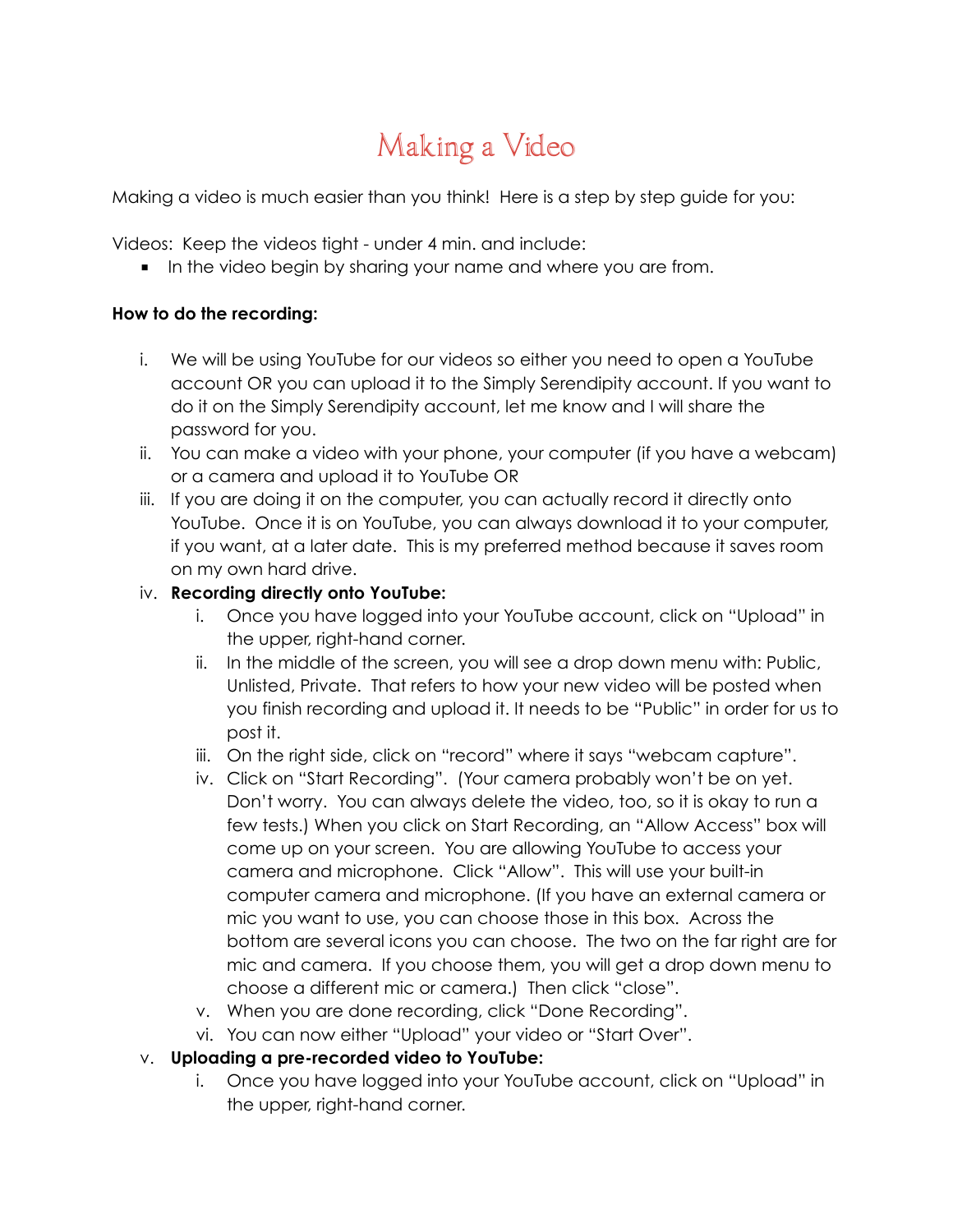# Making a Video

Making a video is much easier than you think! Here is a step by step guide for you:

Videos: Keep the videos tight - under 4 min. and include:

■ In the video begin by sharing your name and where you are from.

#### **How to do the recording:**

- i. We will be using YouTube for our videos so either you need to open a YouTube account OR you can upload it to the Simply Serendipity account. If you want to do it on the Simply Serendipity account, let me know and I will share the password for you.
- ii. You can make a video with your phone, your computer (if you have a webcam) or a camera and upload it to YouTube OR
- iii. If you are doing it on the computer, you can actually record it directly onto YouTube. Once it is on YouTube, you can always download it to your computer, if you want, at a later date. This is my preferred method because it saves room on my own hard drive.

#### iv. **Recording directly onto YouTube:**

- i. Once you have logged into your YouTube account, click on "Upload" in the upper, right-hand corner.
- ii. In the middle of the screen, you will see a drop down menu with: Public, Unlisted, Private. That refers to how your new video will be posted when you finish recording and upload it. It needs to be "Public" in order for us to post it.
- iii. On the right side, click on "record" where it says "webcam capture".
- iv. Click on "Start Recording". (Your camera probably won't be on yet. Don't worry. You can always delete the video, too, so it is okay to run a few tests.) When you click on Start Recording, an "Allow Access" box will come up on your screen. You are allowing YouTube to access your camera and microphone. Click "Allow". This will use your built-in computer camera and microphone. (If you have an external camera or mic you want to use, you can choose those in this box. Across the bottom are several icons you can choose. The two on the far right are for mic and camera. If you choose them, you will get a drop down menu to choose a different mic or camera.) Then click "close".
- v. When you are done recording, click "Done Recording".
- vi. You can now either "Upload" your video or "Start Over".

## v. **Uploading a pre-recorded video to YouTube:**

i. Once you have logged into your YouTube account, click on "Upload" in the upper, right-hand corner.